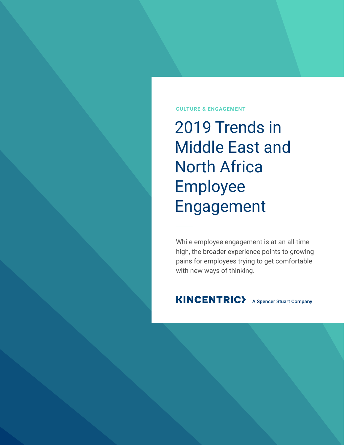### **CULTURE & ENGAGEMENT**

2019 Trends in Middle East and North Africa Employee Engagement

While employee engagement is at an all-time high, the broader experience points to growing pains for employees trying to get comfortable with new ways of thinking.

### **KINCENTRIC>** A Spencer Stuart Company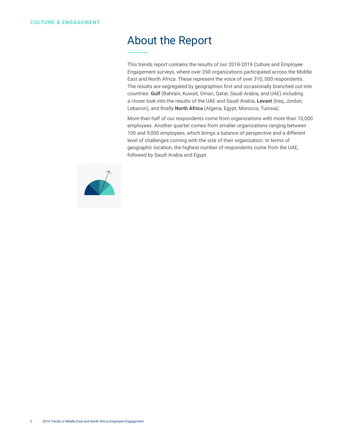### About the Report

This trends report contains the results of our 2018-2019 Culture and Employee Engagement surveys, where over 350 organizations participated across the Middle East and North Africa. These represent the voice of over 310, 000 respondents. The results are segregated by geographies first and occasionally branched out into countries: **Gulf** (Bahrain, Kuwait, Oman, Qatar, Saudi Arabia, and UAE) including a closer look into the results of the UAE and Saudi Arabia, **Levant** (Iraq, Jordan, Lebanon), and finally **North Africa** (Algeria, Egypt, Morocco, Tunisia).

More than half of our respondents come from organizations with more than 10,000 employees. Another quarter comes from smaller organizations ranging between 100 and 9,000 employees, which brings a balance of perspective and a different level of challenges coming with the size of their organization. In terms of geographic location, the highest number of respondents come from the UAE, followed by Saudi Arabia and Egypt.

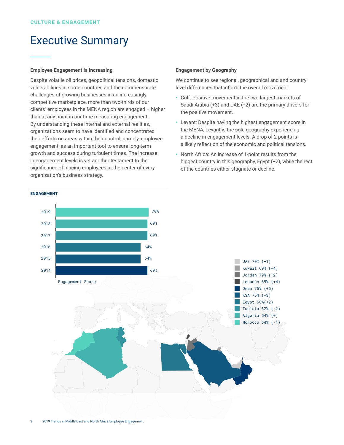### Executive Summary

### **Employee Engagement is Increasing**

Despite volatile oil prices, geopolitical tensions, domestic vulnerabilities in some countries and the commensurate challenges of growing businesses in an increasingly competitive marketplace, more than two-thirds of our clients' employees in the MENA region are engaged – higher than at any point in our time measuring engagement. By understanding these internal and external realities, organizations seem to have identified and concentrated their efforts on areas within their control, namely, employee engagement, as an important tool to ensure long-term growth and success during turbulent times. The increase in engagement levels is yet another testament to the significance of placing employees at the center of every organization's business strategy.

#### **Engagement by Geography**

We continue to see regional, geographical and and country level differences that inform the overall movement.

- **•**  Gulf: Positive movement in the two largest markets of Saudi Arabia (+3) and UAE (+2) are the primary drivers for the positive movement.
- **•**  Levant: Despite having the highest engagement score in the MENA, Levant is the sole geography experiencing a decline in engagement levels. A drop of 2 points is a likely reflection of the economic and political tensions.
- **•**  North Africa: An increase of 1-point results from the biggest country in this geography, Egypt (+2), while the rest of the countries either stagnate or decline.



#### **ENGAGement**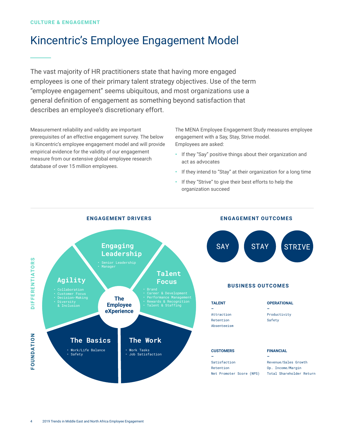## Kincentric's Employee Engagement Model

The vast majority of HR practitioners state that having more engaged employees is one of their primary talent strategy objectives. Use of the term "employee engagement" seems ubiquitous, and most organizations use a general definition of engagement as something beyond satisfaction that describes an employee's discretionary effort.

Measurement reliability and validity are important prerequisites of an effective engagement survey. The below is Kincentric's employee engagement model and will provide empirical evidence for the validity of our engagement measure from our extensive global employee research database of over 15 million employees.

The MENA Employee Engagement Study measures employee engagement with a Say, Stay, Strive model. Employees are asked:

- **•**  If they "Say" positive things about their organization and act as advocates
- **•**  If they intend to "Stay" at their organization for a long time
- **•**  If they "Strive" to give their best efforts to help the organization succeed

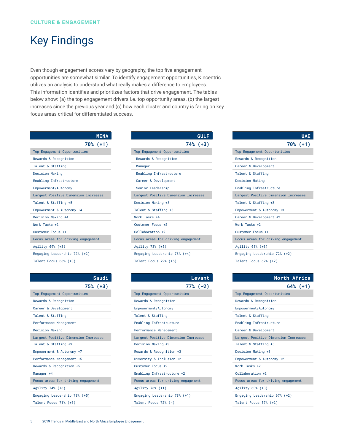### Key Findings

Even though engagement scores vary by geography, the top five engagement opportunities are somewhat similar. To identify engagement opportunities, Kincentric utilizes an analysis to understand what really makes a difference to employees. This information identifies and prioritizes factors that drive engagement. The tables below show: (a) the top engagement drivers i.e. top opportunity areas, (b) the largest increases since the previous year and (c) how each cluster and country is faring on key focus areas critical for differentiated success.

| <b>MENA</b>                          |
|--------------------------------------|
| 70% (+1)                             |
| Top Engagement Opportunities         |
| Rewards & Recognition                |
| Talent & Staffing                    |
| Decision Making                      |
| Enabling Infrastructure              |
| Empowerment/Autonomy                 |
| Largest Positive Dimension Increases |
| Talent & Staffing +5                 |
| Empowerment & Autonomy +4            |
| Decision Making +4                   |
| Work Tasks +2                        |
| Customer Focus +1                    |
| Focus areas for driving engagement   |
| Agility 69% (+3)                     |
| Engaging Leadership 72% (+2)         |
| Talent Focus 66% (+3)                |

| <b>Service Service</b><br>$\mathcal{L}^{\text{max}}_{\text{max}}$ |
|-------------------------------------------------------------------|
|                                                                   |

| 75% (+3)                             |
|--------------------------------------|
| Top Engagement Opportunities         |
| Rewards & Recognition                |
| Career & Development                 |
| Talent & Staffing                    |
| Performance Management               |
| Decision Making                      |
| Largest Positive Dimension Increases |
| Talent & Staffing +9                 |
| Empowerment & Autonomy +7            |
| Performance Management +5            |
| Rewards & Recognition +5             |
| Manager +4                           |
| Focus areas for driving engagement   |
| Agility 74% (+6)                     |
| Engaging Leadership 78% (+5)         |
| Talent Focus 71% (+6)                |

| <b>GULF</b>                          |
|--------------------------------------|
| 74% (+3)                             |
| Top Engagement Opportunities         |
| Rewards & Recognition                |
| Manager                              |
| Enabling Infrastructure              |
| Career & Development                 |
| Senior Leadership                    |
| Largest Positive Dimension Increases |
| Decision Making +8                   |
| Talent & Staffing +5                 |
| Work Tasks +4                        |
| Customer Focus +2                    |
| Collaboration +2                     |
| Focus areas for driving engagement   |
| Agility 73% (+5)                     |
| Engaging Leadership 76% (+4)         |
| Talent Focus 72% (+5)                |

| Levant                               |
|--------------------------------------|
| $77% (-2)$                           |
| Top Engagement Opportunities         |
| Rewards & Recognition                |
| Empowerment/Autonomy                 |
| Talent & Staffing                    |
| Enabling Infrastructure              |
| Performance Management               |
| Largest Positive Dimension Increases |
| Decision Making +3                   |
| Rewards & Recognition +3             |
| Diversity & Inclusion +2             |
| Customer Focus +2                    |
| Enabling Infrastructure +2           |
| Focus areas for driving engagement   |
| Agility 76% (+1)                     |
| Engaging Leadership 78% (+1)         |
| Talent Focus $72\%$ $(-)$            |

| <b>UAE</b>                           |
|--------------------------------------|
| 70% (+1)                             |
| Top Engagement Opportunities         |
| Rewards & Recognition                |
| Career & Development                 |
| Talent & Staffing                    |
| Decision Making                      |
| Enabling Infrastructure              |
| Largest Positive Dimension Increases |
| Talent & Staffing +3                 |
| Empowerment & Autonomy +3            |
| Career & Development +2              |
| Work Tasks +2                        |
| Customer Focus +1                    |
| Focus areas for driving engagement   |
| Agility 68% (+3)                     |
| Engaging Leadership 72% (+2)         |
| Talent Focus 67% (+2)                |

| North Africa                         |
|--------------------------------------|
| $64%$ (+1)                           |
| Top Engagement Opportunities         |
| Rewards & Recognition                |
| Empowerment/Autonomy                 |
| Talent & Staffing                    |
| Enabling Infrastructure              |
| Career & Development                 |
| Largest Positive Dimension Increases |
| Talent & Staffing +5                 |
| Decision Making +3                   |
| Empowerment & Autonomy +2            |
| Work Tasks +2                        |
| Collaboration +2                     |
| Focus areas for driving engagement   |
| Agility 63% (+3)                     |
| Engaging Leadership 67% (+2)         |
| Talent Focus 57% (+2)                |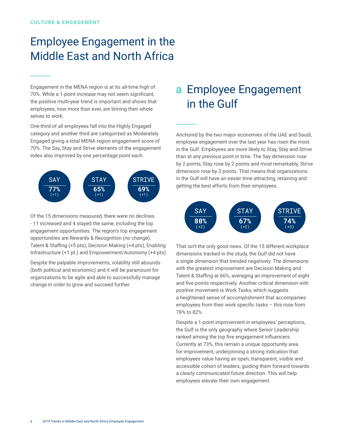# Employee Engagement in the Middle East and North Africa

Engagement in the MENA region is at its all-time high of 70%. While a 1-point increase may not seem significant, the positive multi-year trend is important and shows that employees, now more than ever, are brining their whole selves to work.

One-third of all employees fall into the Highly Engaged category and another third are categorized as Moderately Engaged giving a total MENA region engagement score of 70%. The Say, Stay and Strive elements of the engagement index also improved by one percentage point each.



Of the 15 dimensions measured, there were no declines - 11 increased and 4 stayed the same, including the top engagement opportunities. The region's top engagement opportunities are Rewards & Recognition (no change), Talent & Staffing (+5 pts), Decision Making (+4 pts), Enabling Infrastructure (+1 pt.) and Empowerment/Autonomy (+4 pts).

Despite the palpable improvements, volatility still abounds (both political and economic) and it will be paramount for organizations to be agile and able to successfully manage change in order to grow and succeed further.

# **a** Employee Engagement in the Gulf

Anchored by the two major economies of the UAE and Saudi, employee engagement over the last year has risen the most in the Gulf. Employees are more likely to Stay, Stay and Strive than at any previous point in time. The Say dimension rose by 2 points, Stay rose by 2 points and most remarkably, Strive dimension rose by 3 points. That means that organizations in the Gulf will have an easier time attracting, retaining and getting the best efforts from their employees.



That isn't the only good news. Of the 15 different workplace dimensions tracked in the study, the Gulf did not have a single dimension that trended negatively. The dimensions with the greatest improvement are Decision Making and Talent & Staffing at 66%, averaging an improvement of eight and five points respectively. Another critical dimension with positive movement is Work Tasks, which suggests a heightened sense of accomplishment that accompanies employees from their work specific tasks – this rose from 78% to 82%.

Despite a 1-point improvement in employees' perceptions, the Gulf is the only geography where Senior Leadership ranked among the top five engagement influencers. Currently at 73%, this remain a unique opportunity area for improvement, underpinning a strong indication that employees value having an open, transparent, visible and accessible cohort of leaders, guiding them forward towards a clearly communicated future direction. This will help employees elevate their own engagement.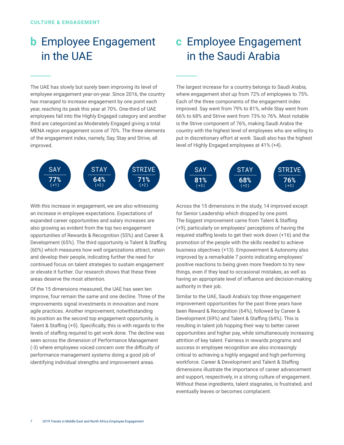# **b** Employee Engagement in the UAE

The UAE has slowly but surely been improving its level of employee engagement year-on-year. Since 2016, the country has managed to increase engagement by one point each year, reaching its peak this year at 70%. One-third of UAE employees fall into the Highly Engaged category and another third are categorized as Moderately Engaged giving a total MENA region engagement score of 70%. The three elements of the engagement index, namely, Say, Stay and Strive, all improved.



With this increase in engagement, we are also witnessing an increase in employee expectations. Expectations of expanded career opportunities and salary increases are also growing as evident from the top two engagement opportunities of Rewards & Recognition (55%) and Career & Development (65%). The third opportunity is Talent & Staffing (60%) which measures how well organizations attract, retain and develop their people, indicating further the need for continued focus on talent strategies to sustain engagement or elevate it further. Our research shows that these three areas deserve the most attention.

Of the 15 dimensions measured, the UAE has seen ten improve, four remain the same and one decline. Three of the improvements signal investments in innovation and more agile practices. Another improvement, notwithstanding its position as the second top engagement opportunity, is Talent & Staffing (+5). Specifically, this is with regards to the levels of staffing required to get work done. The decline was seen across the dimension of Performance Management (-3) where employees voiced concern over the difficulty of performance management systems doing a good job of identifying individual strengths and improvement areas.

## **c** Employee Engagement in the Saudi Arabia

The largest increase for a country belongs to Saudi Arabia, where engagement shot up from 72% of employees to 75%. Each of the three components of the engagement index improved. Say went from 79% to 81%, while Stay went from 66% to 68% and Strive went from 73% to 76%. Most notable is the Strive component of 76%, making Saudi Arabia the country with the highest level of employees who are willing to put in discretionary effort at work. Saudi also has the highest level of Highly Engaged employees at 41% (+4).



Across the 15 dimensions in the study, 14 improved except for Senior Leadership which dropped by one point. The biggest improvement came from Talent & Staffing (+9), particularly on employees' perceptions of having the required staffing levels to get their work down (+16) and the promotion of the people with the skills needed to achieve business objectives (+13). Empowerment & Autonomy also improved by a remarkable 7 points indicating employees' positive reactions to being given more freedom to try new things, even if they lead to occasional mistakes, as well as having an appropriate level of influence and decision-making authority in their job.

Similar to the UAE, Saudi Arabia's top three engagement improvement opportunities for the past three years have been Reward & Recognition (64%), followed by Career & Development (69%) and Talent & Staffing (64%). This is resulting in talent job hopping their way to better career opportunities and higher pay, while simultaneously increasing attrition of key talent. Fairness in rewards programs and success in employee recognition are also increasingly critical to achieving a highly engaged and high performing workforce. Career & Development and Talent & Staffing dimensions illustrate the importance of career advancement and support, respectively, in a strong culture of engagement. Without these ingredients, talent stagnates, is frustrated, and eventually leaves or becomes complacent.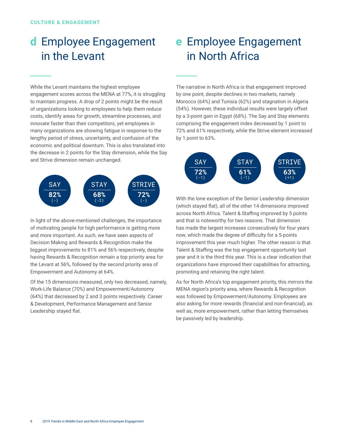# **d** Employee Engagement in the Levant

While the Levant maintains the highest employee engagement scores across the MENA at 77%, it is struggling to maintain progress. A drop of 2 points might be the result of organizations looking to employees to help them reduce costs, identify areas for growth, streamline processes, and innovate faster than their competitors, yet employees in many organizations are showing fatigue in response to the lengthy period of stress, uncertainty, and confusion of the economic and political downturn. This is also translated into the decrease in 2 points for the Stay dimension, while the Say and Strive dimension remain unchanged.



In light of the above-mentioned challenges, the importance of motivating people for high performance is getting more and more important. As such, we have seen aspects of Decision Making and Rewards & Recognition make the biggest improvements to 81% and 56% respectively, despite having Rewards & Recognition remain a top priority area for the Levant at 56%, followed by the second priority area of Empowerment and Autonomy at 64%.

Of the 15 dimensions measured, only two decreased, namely, Work-Life Balance (70%) and Empowerment/Autonomy (64%) that decreased by 2 and 3 points respectively. Career & Development, Performance Management and Senior Leadership stayed flat.

# **e** Employee Engagement in North Africa

The narrative in North Africa is that engagement improved by one point, despite declines in two markets, namely Morocco (64%) and Tunisia (62%) and stagnation in Algeria (54%). However, these individual results were largely offset by a 3-point gain in Egypt (68%). The Say and Stay elements comprising the engagement index decreased by 1 point to 72% and 61% respectively, while the Strive element increased by 1 point to 63%.



With the lone exception of the Senior Leadership dimension (which stayed flat), all of the other 14 dimensions improved across North Africa. Talent & Staffing improved by 5 points and that is noteworthy for two reasons. That dimension has made the largest increases consecutively for four years now, which made the degree of difficulty for a 5-points improvement this year much higher. The other reason is that Talent & Staffing was the top engagement opportunity last year and it is the third this year. This is a clear indication that organizations have improved their capabilities for attracting, promoting and retaining the right talent.

As for North Africa's top engagement priority, this mirrors the MENA region's priority area, where Rewards & Recognition was followed by Empowerment/Autonomy. Employees are also asking for more rewards (financial and non-financial), as well as, more empowerment, rather than letting themselves be passively led by leadership.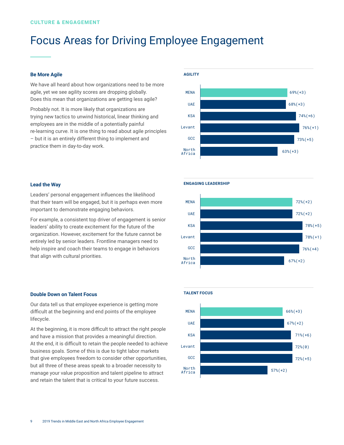# Focus Areas for Driving Employee Engagement

### **Be More Agile**

We have all heard about how organizations need to be more agile, yet we see agility scores are dropping globally. Does this mean that organizations are getting less agile?

Probably not. It is more likely that organizations are trying new tactics to unwind historical, linear thinking and employees are in the middle of a potentially painful re-learning curve. It is one thing to read about agile principles – but it is an entirely different thing to implement and practice them in day-to-day work.



### **Lead the Way**

Leaders' personal engagement influences the likelihood that their team will be engaged, but it is perhaps even more important to demonstrate engaging behaviors.

For example, a consistent top driver of engagement is senior leaders' ability to create excitement for the future of the organization. However, excitement for the future cannot be entirely led by senior leaders. Frontline managers need to help inspire and coach their teams to engage in behaviors that align with cultural priorities.

#### **Double Down on Talent Focus**

Our data tell us that employee experience is getting more difficult at the beginning and end points of the employee lifecycle.

At the beginning, it is more difficult to attract the right people and have a mission that provides a meaningful direction. At the end, it is difficult to retain the people needed to achieve business goals. Some of this is due to tight labor markets that give employees freedom to consider other opportunities, but all three of these areas speak to a broader necessity to manage your value proposition and talent pipeline to attract and retain the talent that is critical to your future success.

#### **engaging leadership**



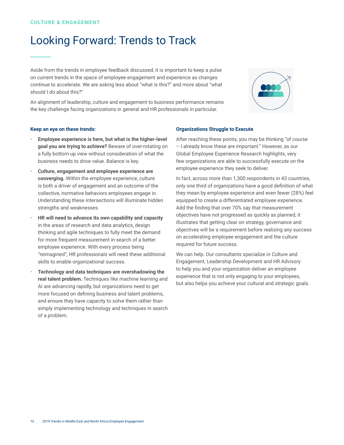### Looking Forward: Trends to Track

Aside from the trends in employee feedback discussed, it is important to keep a pulse on current trends in the space of employee engagement and experience as changes continue to accelerate. We are asking less about "what is this?" and more about "what should I do about this?"

An alignment of leadership, culture and engagement to business performance remains the key challenge facing organizations in general and HR professionals in particular.



#### **Keep an eye on these trends:**

- **Employee experience is here, but what is the higher-level goal you are trying to achieve?** Beware of over-rotating on a fully bottom-up view without consideration of what the business needs to drive value. Balance is key.
- **Culture, engagement and employee experience are converging.** Within the employee experience, culture is both a driver of engagement and an outcome of the collective, normative behaviors employees engage in. Understanding these intersections will illuminate hidden strengths and weaknesses.
- **HR will need to advance its own capability and capacity** in the areas of research and data analytics, design thinking and agile techniques to fully meet the demand for more frequent measurement in search of a better employee experience. With every process being "reimagined", HR professionals will need these additional skills to enable organizational success.
- **Fechnology and data techniques are overshadowing the real talent problem.** Techniques like machine learning and AI are advancing rapidly, but organizations need to get more focused on defining business and talent problems, and ensure they have capacity to solve them rather than simply implementing technology and techniques in search of a problem.

### **Organizations Struggle to Execute**

After reaching these points, you may be thinking "of course – I already know these are important." However, as our Global Employee Experience Research highlights, very few organizations are able to successfully execute on the employee experience they seek to deliver.

In fact, across more than 1,300 respondents in 43 countries, only one third of organizations have a good definition of what they mean by employee experience and even fewer (28%) feel equipped to create a differentiated employee experience. Add the finding that over 70% say that measurement objectives have not progressed as quickly as planned, it illustrates that getting clear on strategy, governance and objectives will be a requirement before realizing any success on accelerating employee engagement and the culture required for future success.

We can help. Our consultants specialize in Culture and Engagement, Leadership Development and HR Advisory to help you and your organization deliver an employee experience that is not only engaging to your employees, but also helps you achieve your cultural and strategic goals.